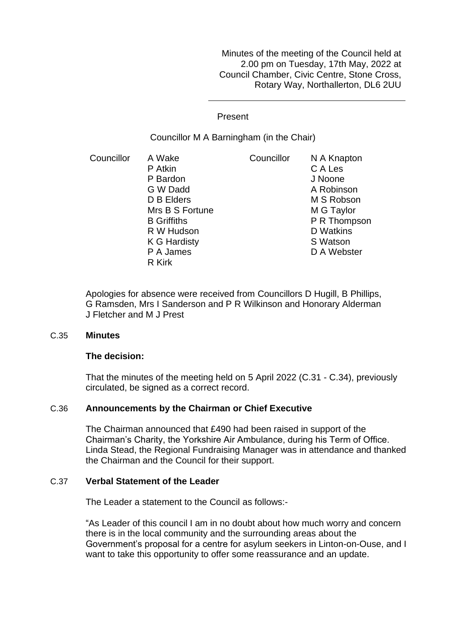Minutes of the meeting of the Council held at 2.00 pm on Tuesday, 17th May, 2022 at Council Chamber, Civic Centre, Stone Cross, Rotary Way, Northallerton, DL6 2UU

Present

Councillor M A Barningham (in the Chair)

Councillor A Wake P Atkin P Bardon G W Dadd D B Elders Mrs B S Fortune B Griffiths R W Hudson K G Hardisty P A James R Kirk Councillor N A Knapton C A Les J Noone A Robinson M S Robson M G Taylor P R Thompson D Watkins S Watson D A Webster

Apologies for absence were received from Councillors D Hugill, B Phillips, G Ramsden, Mrs I Sanderson and P R Wilkinson and Honorary Alderman J Fletcher and M J Prest

## C.35 **Minutes**

## **The decision:**

That the minutes of the meeting held on 5 April 2022 (C.31 - C.34), previously circulated, be signed as a correct record.

## C.36 **Announcements by the Chairman or Chief Executive**

The Chairman announced that £490 had been raised in support of the Chairman's Charity, the Yorkshire Air Ambulance, during his Term of Office. Linda Stead, the Regional Fundraising Manager was in attendance and thanked the Chairman and the Council for their support.

## C.37 **Verbal Statement of the Leader**

The Leader a statement to the Council as follows:-

"As Leader of this council I am in no doubt about how much worry and concern there is in the local community and the surrounding areas about the Government's proposal for a centre for asylum seekers in Linton-on-Ouse, and I want to take this opportunity to offer some reassurance and an update.